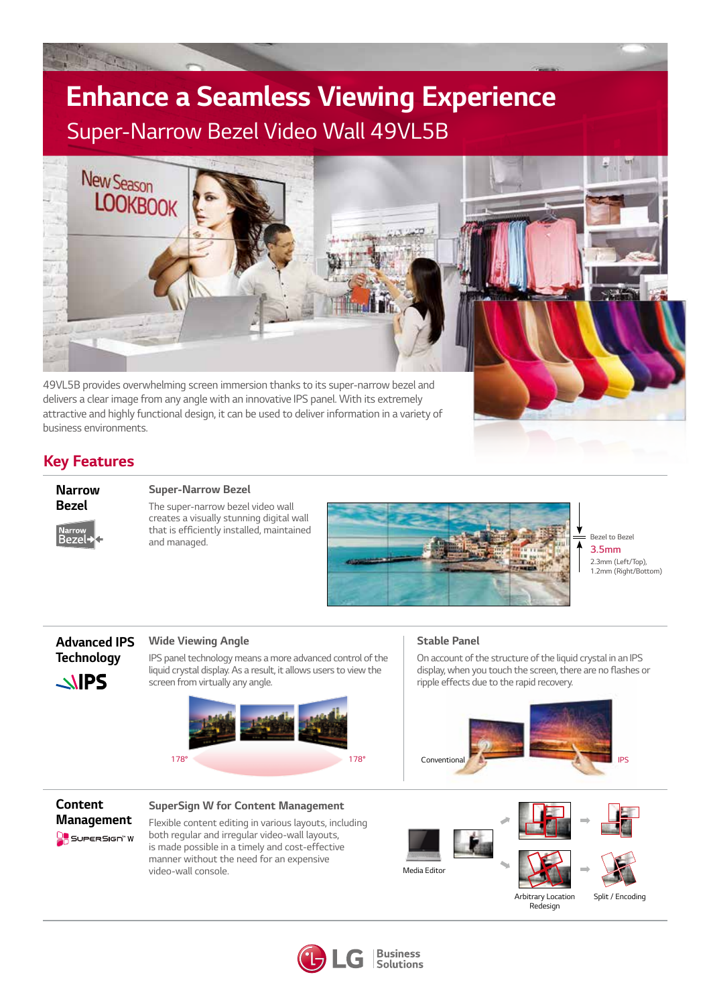# *Enhance a Seamless Viewing Experience Super-Narrow Bezel Video Wall 49VL5B*



*49VL5B provides overwhelming screen immersion thanks to its super-narrow bezel and delivers a clear image from any angle with an innovative IPS panel. With its extremely attractive and highly functional design, it can be used to deliver information in a variety of business environments.* 

## *Key Features*



### *Super-Narrow Bezel*

*The super-narrow bezel video wall creates a visually stunning digital wall*  that is efficiently installed, maintained *and managed.* 



*Bezel to Bezel 3.5mm 2.3mm (Left/Top), 1.2mm (Right/Bottom)*

## *Advanced IPS Technology*  $\triangle$ IPS

#### *Wide Viewing Angle*

*IPS panel technology means a more advanced control of the liquid crystal display. As a result, it allows users to view the screen from virtually any angle.* 



#### *Stable Panel*

*On account of the structure of the liquid crystal in an IPS*  display, when you touch the screen, there are no flashes or *ripple effects due to the rapid recovery.*





#### *SuperSign W for Content Management*

*Flexible content editing in various layouts, including both regular and irregular video-wall layouts, is made possible in a timely and cost-effective manner without the need for an expensive video-wall console.* 







*Arbitrary Location Redesign*



**Business Solutions**